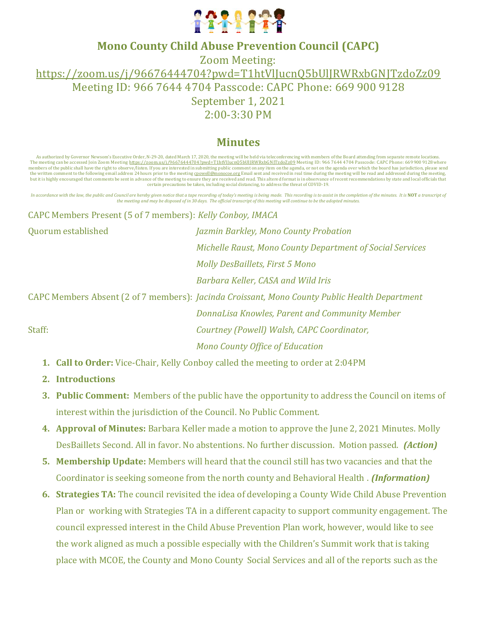

## **Mono County Child Abuse Prevention Council (CAPC)**

Zoom Meeting: [https://zoom.us/j/96676444704?pwd=T1htVlJucnQ5bUlJRWRxbGNJTzdoZz09](https://www.google.com/url?q=https://zoom.us/j/96676444704?pwd%3DT1htVlJucnQ5bUlJRWRxbGNJTzdoZz09&sa=D&source=calendar&ust=1629738858554349&usg=AOvVaw1v4L70uv4BW7kZyWk7bLUQ) Meeting ID: 966 7644 4704 Passcode: CAPC Phone: 669 900 9128 September 1, 2021 2:00-3:30 PM

# **Minutes**

As authorized by Governor Newsom's Executive Order, N-29-20, dated March 17, 2020, the meeting will be held via teleconferencing with members of the Board attending from separate remote locations. The meeting can be accessed Join Zoom Meeting [https://zoom.us/j/96676444704?pwd=T1htVlJucnQ5bUlJRWRxbGNJTzdoZz09](https://www.google.com/url?q=https://zoom.us/j/96676444704?pwd%3DT1htVlJucnQ5bUlJRWRxbGNJTzdoZz09&sa=D&source=calendar&ust=1629738858554349&usg=AOvVaw1v4L70uv4BW7kZyWk7bLUQ) Meeting ID: 966 7644 4704 Passcode: CAPC Phone: 669 900 9128 where members of the public shall have the right to observe/listen. If you are interested in submitting public comment on any item on the agenda, or not on the agenda over which the board has jurisdiction, please send the worlde certain precautions be taken, including social distancing, to address the threat of COVID-19.

In accordance with the law, the public and Council are hereby given notice that a tape recording of today's meeting is being made. This recording is to assist in the completion of the minutes. It is NOT a transcript of *the meeting and may be disposed of in 30 days. The official transcript of this meeting will continue to be the adopted minutes.*

CAPC Members Present (5 of 7 members): *Kelly Conboy, IMACA* 

Quorum established *Jazmin Barkley, Mono County Probation Michelle Raust, Mono County Department of Social Services Molly DesBaillets, First 5 Mono Barbara Keller, CASA and Wild Iris*

CAPC Members Absent (2 of 7 members): *Jacinda Croissant, Mono County Public Health Department DonnaLisa Knowles, Parent and Community Member* Staff: *Courtney (Powell) Walsh, CAPC Coordinator, Mono County Office of Education*

- **1. Call to Order:** Vice-Chair, Kelly Conboy called the meeting to order at 2:04PM
- **2. Introductions**
- **3. Public Comment:** Members of the public have the opportunity to address the Council on items of interest within the jurisdiction of the Council. No Public Comment.
- **4. Approval of Minutes:** Barbara Keller made a motion to approve the June 2, 2021 Minutes. Molly DesBaillets Second. All in favor. No abstentions. No further discussion. Motion passed. *(Action)*
- **5. Membership Update:** Members will heard that the council still has two vacancies and that the Coordinator is seeking someone from the north county and Behavioral Health . *(Information)*
- **6. Strategies TA:** The council revisited the idea of developing a County Wide Child Abuse Prevention Plan or working with Strategies TA in a different capacity to support community engagement. The council expressed interest in the Child Abuse Prevention Plan work, however, would like to see the work aligned as much a possible especially with the Children's Summit work that is taking place with MCOE, the County and Mono County Social Services and all of the reports such as the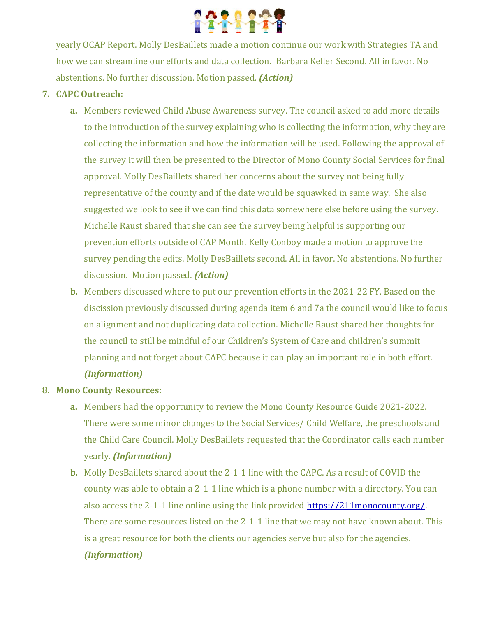

yearly OCAP Report. Molly DesBaillets made a motion continue our work with Strategies TA and how we can streamline our efforts and data collection. Barbara Keller Second. All in favor. No abstentions. No further discussion. Motion passed. *(Action)*

### **7. CAPC Outreach:**

- **a.** Members reviewed Child Abuse Awareness survey. The council asked to add more details to the introduction of the survey explaining who is collecting the information, why they are collecting the information and how the information will be used. Following the approval of the survey it will then be presented to the Director of Mono County Social Services for final approval. Molly DesBaillets shared her concerns about the survey not being fully representative of the county and if the date would be squawked in same way. She also suggested we look to see if we can find this data somewhere else before using the survey. Michelle Raust shared that she can see the survey being helpful is supporting our prevention efforts outside of CAP Month. Kelly Conboy made a motion to approve the survey pending the edits. Molly DesBaillets second. All in favor. No abstentions. No further discussion. Motion passed. *(Action)*
- **b.** Members discussed where to put our prevention efforts in the 2021-22 FY. Based on the discission previously discussed during agenda item 6 and 7a the council would like to focus on alignment and not duplicating data collection. Michelle Raust shared her thoughts for the council to still be mindful of our Children's System of Care and children's summit planning and not forget about CAPC because it can play an important role in both effort. *(Information)*

#### **8. Mono County Resources:**

- **a.** Members had the opportunity to review the Mono County Resource Guide 2021-2022. There were some minor changes to the Social Services/ Child Welfare, the preschools and the Child Care Council. Molly DesBaillets requested that the Coordinator calls each number yearly. *(Information)*
- **b.** Molly DesBaillets shared about the 2-1-1 line with the CAPC. As a result of COVID the county was able to obtain a 2-1-1 line which is a phone number with a directory. You can also access the 2-1-1 line online using the link provided [https://211monocounty.org/.](https://211monocounty.org/) There are some resources listed on the 2-1-1 line that we may not have known about. This is a great resource for both the clients our agencies serve but also for the agencies. *(Information)*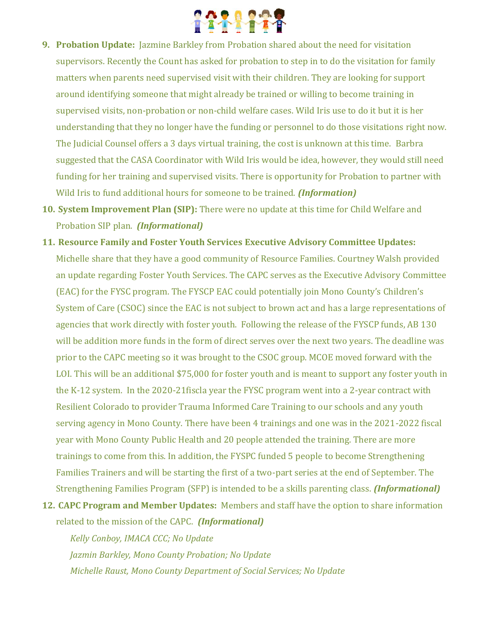

- **9. Probation Update:** Jazmine Barkley from Probation shared about the need for visitation supervisors. Recently the Count has asked for probation to step in to do the visitation for family matters when parents need supervised visit with their children. They are looking for support around identifying someone that might already be trained or willing to become training in supervised visits, non-probation or non-child welfare cases. Wild Iris use to do it but it is her understanding that they no longer have the funding or personnel to do those visitations right now. The Judicial Counsel offers a 3 days virtual training, the cost is unknown at this time. Barbra suggested that the CASA Coordinator with Wild Iris would be idea, however, they would still need funding for her training and supervised visits. There is opportunity for Probation to partner with Wild Iris to fund additional hours for someone to be trained. *(Information)*
- **10. System Improvement Plan (SIP):** There were no update at this time for Child Welfare and Probation SIP plan. *(Informational)*
- **11. Resource Family and Foster Youth Services Executive Advisory Committee Updates:**  Michelle share that they have a good community of Resource Families. Courtney Walsh provided an update regarding Foster Youth Services. The CAPC serves as the Executive Advisory Committee (EAC) for the FYSC program. The FYSCP EAC could potentially join Mono County's Children's System of Care (CSOC) since the EAC is not subject to brown act and has a large representations of agencies that work directly with foster youth. Following the release of the FYSCP funds, AB 130 will be addition more funds in the form of direct serves over the next two years. The deadline was prior to the CAPC meeting so it was brought to the CSOC group. MCOE moved forward with the LOI. This will be an additional \$75,000 for foster youth and is meant to support any foster youth in the K-12 system. In the 2020-21fiscla year the FYSC program went into a 2-year contract with Resilient Colorado to provider Trauma Informed Care Training to our schools and any youth serving agency in Mono County. There have been 4 trainings and one was in the 2021-2022 fiscal year with Mono County Public Health and 20 people attended the training. There are more trainings to come from this. In addition, the FYSPC funded 5 people to become Strengthening Families Trainers and will be starting the first of a two-part series at the end of September. The Strengthening Families Program (SFP) is intended to be a skills parenting class. *(Informational)*
- **12. CAPC Program and Member Updates:** Members and staff have the option to share information related to the mission of the CAPC. *(Informational)*

*Kelly Conboy, IMACA CCC; No Update Jazmin Barkley, Mono County Probation; No Update Michelle Raust, Mono County Department of Social Services; No Update*